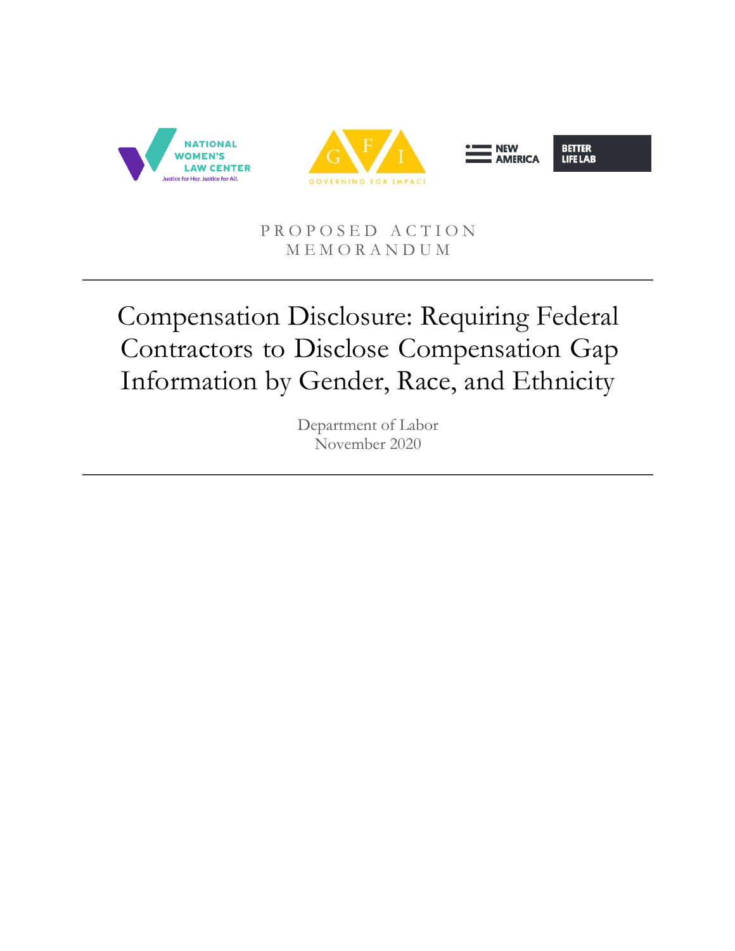

#### PROPOSED ACTION M E M O R A N D U M

# Compensation Disclosure: Requiring Federal Contractors to Disclose Compensation Gap Information by Gender, Race, and Ethnicity

Department of Labor November 2020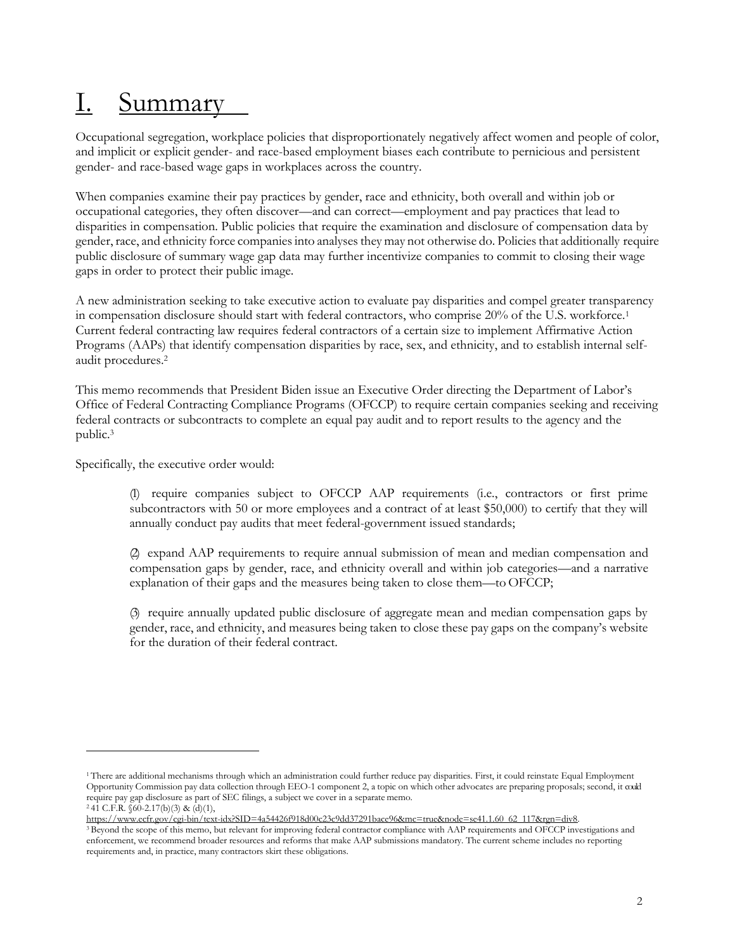# I. Summary

Occupational segregation, workplace policies that disproportionately negatively affect women and people of color, and implicit or explicit gender- and race-based employment biases each contribute to pernicious and persistent gender- and race-based wage gaps in workplaces across the country.

When companies examine their pay practices by gender, race and ethnicity, both overall and within job or occupational categories, they often discover—and can correct—employment and pay practices that lead to disparities in compensation. Public policies that require the examination and disclosure of compensation data by gender, race, and ethnicity force companiesinto analyses they may not otherwise do. Policiesthat additionally require public disclosure of summary wage gap data may further incentivize companies to commit to closing their wage gaps in order to protect their public image.

A new administration seeking to take executive action to evaluate pay disparities and compel greater transparency in compensation disclosure should start with federal contractors, who comprise 20% of the U.S. workforce.<sup>1</sup> Current federal contracting law requires federal contractors of a certain size to implement Affirmative Action Programs (AAPs) that identify compensation disparities by race, sex, and ethnicity, and to establish internal selfaudit procedures.<sup>2</sup>

This memo recommends that President Biden issue an Executive Order directing the Department of Labor's Office of Federal Contracting Compliance Programs (OFCCP) to require certain companies seeking and receiving federal contracts or subcontracts to complete an equal pay audit and to report results to the agency and the public.<sup>3</sup>

Specifically, the executive order would:

(1) require companies subject to OFCCP AAP requirements (i.e., contractors or first prime subcontractors with 50 or more employees and a contract of at least \$50,000) to certify that they will annually conduct pay audits that meet federal-government issued standards;

(2) expand AAP requirements to require annual submission of mean and median compensation and compensation gaps by gender, race, and ethnicity overall and within job categories—and a narrative explanation of their gaps and the measures being taken to close them—to OFCCP;

(3) require annually updated public disclosure of aggregate mean and median compensation gaps by gender, race, and ethnicity, and measures being taken to close these pay gaps on the company's website for the duration of their federal contract.

[https://www.ecfr.gov/cgi-bin/text-idx?SID=4a54426f918d00c23c9dd37291bace96&mc=true&node=se41.1.60\\_62\\_117&rgn=div8.](https://www.ecfr.gov/cgi-bin/text-idx?SID=4a54426f918d00c23c9dd37291bace96&mc=true&node=se41.1.60_62_117&rgn=div8)

<sup>1</sup>There are additional mechanisms through which an administration could further reduce pay disparities. First, it could reinstate Equal Employment Opportunity Commission pay data collection through EEO-1 component 2, a topic on which other advocates are preparing proposals; second, it could require pay gap disclosure as part of SEC filings, a subject we cover in a separate memo.  $241$  C.F.R. §60-2.17(b)(3) & (d)(1),

<sup>&</sup>lt;sup>3</sup> Beyond the scope of this memo, but relevant for improving federal contractor compliance with AAP requirements and OFCCP investigations and enforcement, we recommend broader resources and reforms that make AAP submissions mandatory. The current scheme includes no reporting requirements and, in practice, many contractors skirt these obligations.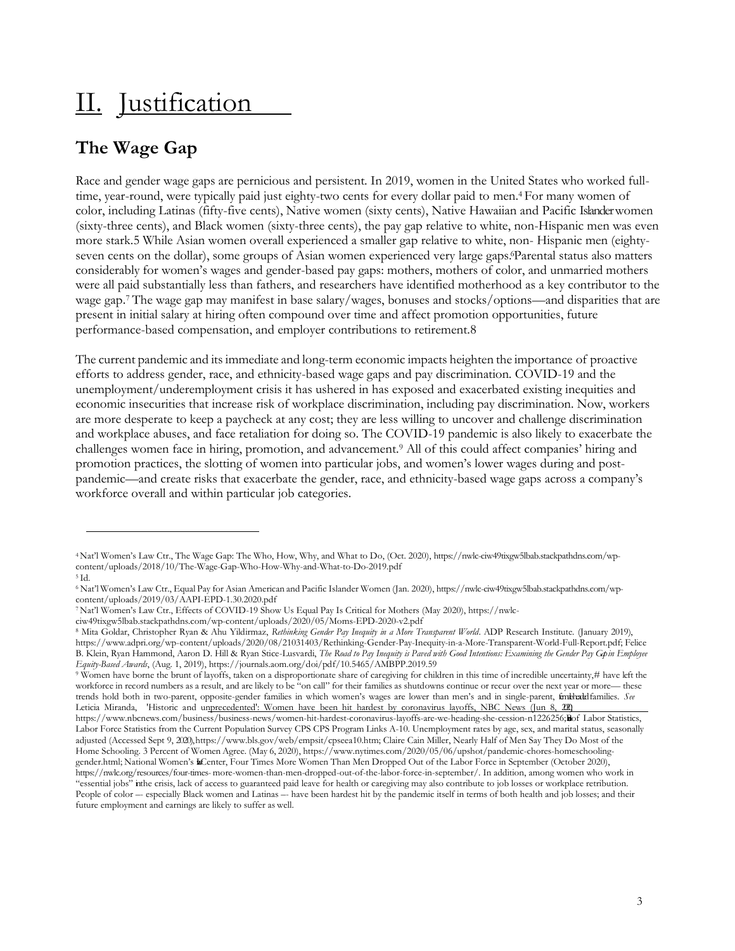## II. Justification

### **The Wage Gap**

Race and gender wage gaps are pernicious and persistent. In 2019, women in the United States who worked fulltime, year-round, were typically paid just eighty-two cents for every dollar paid to men.4 For many women of color, including Latinas (fifty-five cents), Native women (sixty cents), Native Hawaiian and Pacific Islander women (sixty-three cents), and Black women (sixty-three cents), the pay gap relative to white, non-Hispanic men was even more stark.5 While Asian women overall experienced a smaller gap relative to white, non- Hispanic men (eightyseven cents on the dollar), some groups of Asian women experienced very large gaps. Parental status also matters considerably for women's wages and gender-based pay gaps: mothers, mothers of color, and unmarried mothers were all paid substantially less than fathers, and researchers have identified motherhood as a key contributor to the wage gap.7 The wage gap may manifest in base salary/wages, bonuses and stocks/options—and disparities that are present in initial salary at hiring often compound over time and affect promotion opportunities, future performance-based compensation, and employer contributions to retirement.8

The current pandemic and its immediate and long-term economic impacts heighten the importance of proactive efforts to address gender, race, and ethnicity-based wage gaps and pay discrimination. COVID-19 and the unemployment/underemployment crisis it has ushered in has exposed and exacerbated existing inequities and economic insecurities that increase risk of workplace discrimination, including pay discrimination. Now, workers are more desperate to keep a paycheck at any cost; they are less willing to uncover and challenge discrimination and workplace abuses, and face retaliation for doing so. The COVID-19 pandemic is also likely to exacerbate the challenges women face in hiring, promotion, and advancement.<sup>9</sup> All of this could affect companies' hiring and promotion practices, the slotting of women into particular jobs, and women's lower wages during and postpandemic—and create risks that exacerbate the gender, race, and ethnicity-based wage gaps across a company's workforce overall and within particular job categories.

<sup>4</sup> Nat'l Women's Law Ctr., The Wage Gap: The Who, How, Why, and What to Do, (Oct. 2020), https://nwlc-ciw49tixgw5lbab.stackpathdns.com/wpcontent/uploads/2018/10/The-Wage-Gap-Who-How-Why-and-What-to-Do-2019.pdf

 $5$ Id.

<sup>6</sup> Nat'l Women's Law Ctr., Equal Pay for Asian [American](https://nwlc-ciw49tixgw5lbab.stackpathdns.com/wp-content/uploads/2019/03/AAPI-EPD-1.30.2020.pdf) and Pacific Islander Women (Jan. 2020), https://nwlc-ciw49tixgw5lbab.stackpathdns.com/wpcontent/uploads/2019/03/AAPI-EPD-1.30.2020.pdf

<sup>7</sup> Nat'l Women's Law Ctr., [Effects of COVID-19 Show Us Equal Pay Is Critical for Mothers](https://nwlc-ciw49tixgw5lbab.stackpathdns.com/wp-content/uploads/2020/05/Moms-EPD-2020-v2.pdf) (May 2020), https://nwlc-

ciw49tixgw5lbab.stackpathdns.com/wp-content/uploads/2020/05/Moms-EPD-2020-v2.pdf

<sup>8</sup>Mita Goldar, Christopher Ryan & Ahu Yildirmaz, *Rethinking Gender Pay Inequity in a More Transparent World*. ADP Research Institute. (January 2019), http[s://www.adpri.org/wp-content/uploads/2020/08/21031403/Rethinking-Gender-Pay-Inequity-in-a-More-Transparent-World-Full-Report.pdf;](http://www.adpri.org/wp-content/uploads/2020/08/21031403/Rethinking-Gender-Pay-Inequity-in-a-More-Transparent-World-Full-Report.pdf%3B) Felice B. Klein, Ryan Hammond, Aaron D. Hill & Ryan Stice-Lusvardi, The Road to Pay Inequity is Paved with Good Intentions: Examining the Gender Pay Cryin Employee *Equity-Based Awards*, (Aug. 1, 2019), https://journals.aom.org/doi/pdf/10.5465/AMBPP.2019.59

<sup>9</sup>Women have borne the brunt of layoffs, taken on a disproportionate share of caregiving for children in this time of incredible uncertainty,# have left the workforce in record numbers as a result, and are likely to be "on call" for their families as shutdowns continue or recur over the next year or more— these trends hold both in two-parent, opposite-gender families in which women's wages are lower than men's and in single-parent, female-headedfamilies. *See*  Leticia Miranda, 'Historic and unprecedented': Women have been hit hardest by coronavirus layoffs, NBC News (Jun 8, 202)

https://www.nbcnews.com/business/business-news/women-hit-hardest-coronavirus-layoffs-are-we-heading-she-cession-n1226256;Bof Labor Statistics, Labor Force Statistics from the Current Population Survey CPS CPS Program Link[s A-10. Unemployment rates by age, sex, and marital status, seasonally](https://www.bls.gov/web/empsit/cpseea10.htm)  [adjusted](https://www.bls.gov/web/empsit/cpseea10.htm) (Accessed Sept 9, 2020[\), https://www.bls.gov/web/empsit/cpseea10.htm; C](https://www.bls.gov/web/empsit/cpseea10.htm)laire Cain Miller[, Nearly Half of Men Say They Do Most of the](https://www.nytimes.com/2020/05/06/upshot/pandemic-chores-homeschooling-gender.html)  [Home Schooling. 3 Percent of](https://www.nytimes.com/2020/05/06/upshot/pandemic-chores-homeschooling-gender.html) [Women](https://www.nytimes.com/2020/05/06/upshot/pandemic-chores-homeschooling-gender.html) Agree. (May 6, 2020), [https://www.nytimes.com/2020/05/06/upshot/pandemic-chores-homeschooling](https://www.nytimes.com/2020/05/06/upshot/pandemic-chores-homeschooling-gender.html)[gender.html;](https://www.nytimes.com/2020/05/06/upshot/pandemic-chores-homeschooling-gender.html) National Women's LCenter, Four Times More Women Than Men Dropped Out of the Labor Force in September (October 2020), [https://nwlc.org/resources/four-times-](https://nwlc.org/resources/four-times-more-women-than-men-dropped-out-of-the-labor-force-in-september/) [more-women-than-men-dropped-out-of-the-labor-force-in-september/. I](https://nwlc.org/resources/four-times-more-women-than-men-dropped-out-of-the-labor-force-in-september/)n addition, among women who work in "essential jobs" in the crisis, lack of access to guaranteed paid leave for health or caregiving may also contribute to job losses or workplace retribution. People of color -- especially Black women and Latinas -- have been hardest hit by the pandemic itself in terms of both health and job losses; and their future employment and earnings are likely to suffer as well.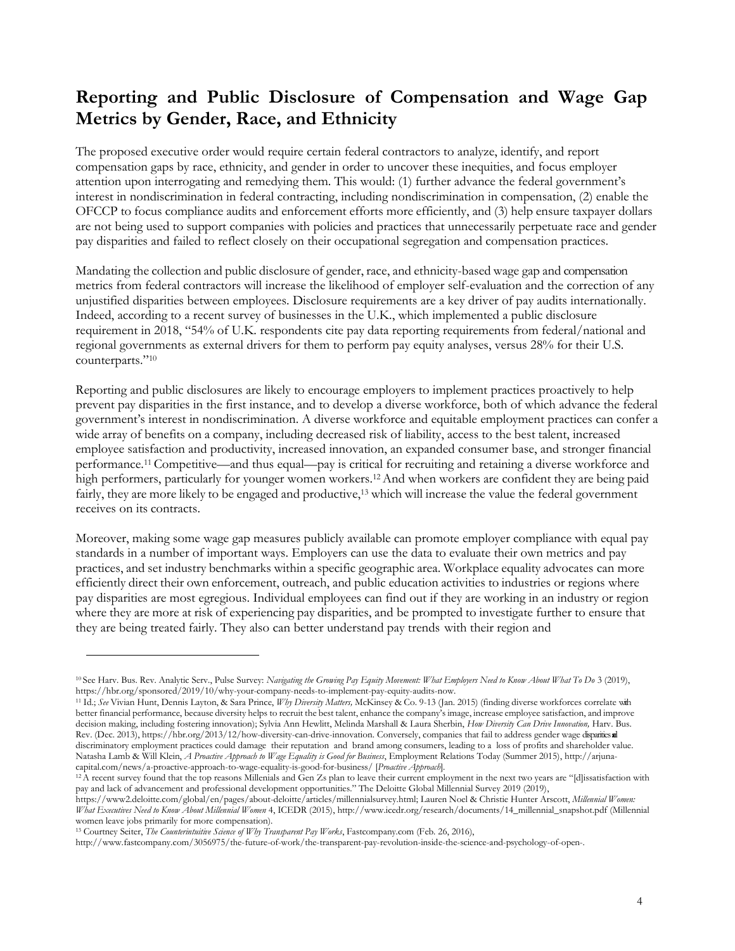#### **Reporting and Public Disclosure of Compensation and Wage Gap Metrics by Gender, Race, and Ethnicity**

The proposed executive order would require certain federal contractors to analyze, identify, and report compensation gaps by race, ethnicity, and gender in order to uncover these inequities, and focus employer attention upon interrogating and remedying them. This would: (1) further advance the federal government's interest in nondiscrimination in federal contracting, including nondiscrimination in compensation, (2) enable the OFCCP to focus compliance audits and enforcement efforts more efficiently, and (3) help ensure taxpayer dollars are not being used to support companies with policies and practices that unnecessarily perpetuate race and gender pay disparities and failed to reflect closely on their occupational segregation and compensation practices.

Mandating the collection and public disclosure of gender, race, and ethnicity-based wage gap and compensation metrics from federal contractors will increase the likelihood of employer self-evaluation and the correction of any unjustified disparities between employees. Disclosure requirements are a key driver of pay audits internationally. Indeed, according to a recent survey of businesses in the U.K., which implemented a public disclosure requirement in 2018, "54% of U.K. respondents cite pay data reporting requirements from federal/national and regional governments as external drivers for them to perform pay equity analyses, versus 28% for their U.S. counterparts."<sup>10</sup>

Reporting and public disclosures are likely to encourage employers to implement practices proactively to help prevent pay disparities in the first instance, and to develop a diverse workforce, both of which advance the federal government's interest in nondiscrimination. A diverse workforce and equitable employment practices can confer a wide array of benefits on a company, including decreased risk of liability, access to the best talent, increased employee satisfaction and productivity, increased innovation, an expanded consumer base, and stronger financial performance.11 Competitive—and thus equal—pay is critical for recruiting and retaining a diverse workforce and high performers, particularly for younger women workers.12 And when workers are confident they are being paid fairly, they are more likely to be engaged and productive,<sup>13</sup> which will increase the value the federal government receives on its contracts.

Moreover, making some wage gap measures publicly available can promote employer compliance with equal pay standards in a number of important ways. Employers can use the data to evaluate their own metrics and pay practices, and set industry benchmarks within a specific geographic area. Workplace equality advocates can more efficiently direct their own enforcement, outreach, and public education activities to industries or regions where pay disparities are most egregious. Individual employees can find out if they are working in an industry or region where they are more at risk of experiencing pay disparities, and be prompted to investigate further to ensure that they are being treated fairly. They also can better understand pay trends with their region and

<sup>10</sup>See Harv. Bus. Rev. Analytic Serv., Pulse Survey: *Navigating the Growing Pay Equity Movement: What Employers Need to Know About What To Do* 3 (2019), [https://hbr.org/sponsored/2019/10/why-your-company-needs-to-implement-pay-equity-audits-now.](https://hbr.org/sponsored/2019/10/why-your-company-needs-to-implement-pay-equity-audits-now)

<sup>11</sup> Id.; *See* Vivian Hunt, Dennis Layton, & Sara Prince, *Why Diversity Matters,* McKinsey & Co. 9-13 (Jan. 2015) (finding diverse workforces correlate with better financial performance, because diversity helps to recruit the best talent, enhance the company's image, increase employee satisfaction, and improve decision making, including fostering innovation); Sylvia Ann Hewlitt, Melinda Marshall & Laura Sherbin, *How Diversity Can Drive Innovation,* Harv. Bus. Rev. (Dec. 201[3\),](https://hbr.org/2013/12/how-diversity-can-drive-innovation) [https://hbr.org/2013/12/how-diversity-can-drive-innovation. C](https://hbr.org/2013/12/how-diversity-can-drive-innovation)onversely, companies that fail to address gender wage disparities and discriminatory employment practices could damage their reputation and brand among consumers, leading to a loss of profits and shareholder value. Natasha Lamb & Will Klein, *A Proactive Approach to Wage Equality is Good for Business*, Employment Relations Today (Summer 201[5\), http://arjuna](http://arjuna-capital.com/news/a-proactive-approach-to-wage-equality-is-good-for-business/)[capital.com/news/a-proactive-approach-to-wage-equality-is-good-for-business/ \[](http://arjuna-capital.com/news/a-proactive-approach-to-wage-equality-is-good-for-business/)*Proactive Approach*].

<sup>&</sup>lt;sup>12</sup>A recent survey found that the top reasons Millenials and Gen Zs plan to leave their current employment in the next two years are "[d]issatisfaction with pay and lack of advancement and professional development opportunities." The Deloitte Global Millennial Survey 2019 (2019)[,](https://www2.deloitte.com/global/en/pages/about-deloitte/articles/millennialsurvey.html)

[https://www2.deloitte.com/global/en/pages/about-deloitte/articles/millennialsurvey.html; L](https://www2.deloitte.com/global/en/pages/about-deloitte/articles/millennialsurvey.html)auren Noel & Christie Hunter Arscott, *Millennial Women: What Executives Need to Know About Millennial Women* 4, ICEDR (2015[\),](http://www.icedr.org/research/documents/14_millennial_snapshot.pdf) [http://www.icedr.org/research/documents/14\\_millennial\\_snapshot.pdf](http://www.icedr.org/research/documents/14_millennial_snapshot.pdf) (Millennial women leave jobs primarily for more compensation).

<sup>13</sup>Courtney Seiter, *The Counterintuitive Science of Why Transparent Pay Works*, Fastcompany.com (Feb. 26, 201[6\),](http://www.fastcompany.com/3056975/the-future-of-work/the-transparent-pay-revolution-inside-the-science-and-psychology-of-open-)

[http://www.fastcompany.com/3056975/the-future-of-work/the-transparent-pay-revolution-inside-the-science-and-psychology-of-open-.](http://www.fastcompany.com/3056975/the-future-of-work/the-transparent-pay-revolution-inside-the-science-and-psychology-of-open-)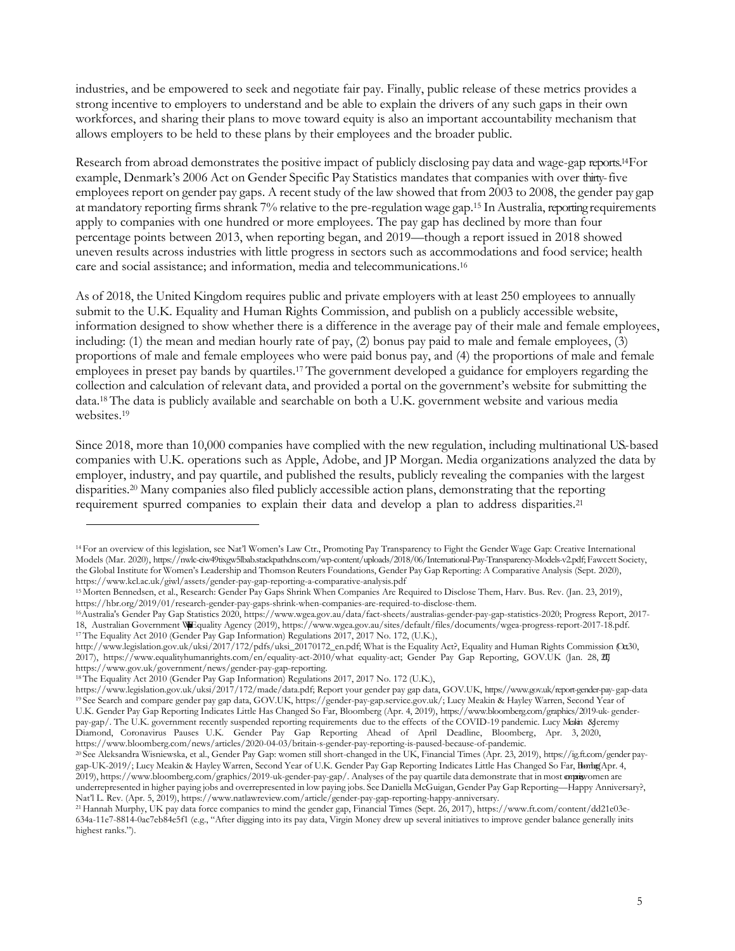industries, and be empowered to seek and negotiate fair pay. Finally, public release of these metrics provides a strong incentive to employers to understand and be able to explain the drivers of any such gaps in their own workforces, and sharing their plans to move toward equity is also an important accountability mechanism that allows employers to be held to these plans by their employees and the broader public.

Research from abroad demonstrates the positive impact of publicly disclosing pay data and wage-gap reports.14 For example, Denmark's 2006 Act on Gender Specific Pay Statistics mandates that companies with over thirty-five employees report on gender pay gaps. A recent study of the law showed that from 2003 to 2008, the gender pay gap at mandatory reporting firms shrank  $7\%$  relative to the pre-regulation wage gap.<sup>15</sup> In Australia, reporting requirements apply to companies with one hundred or more employees. The pay gap has declined by more than four percentage points between 2013, when reporting began, and 2019—though a report issued in 2018 showed uneven results across industries with little progress in sectors such as accommodations and food service; health care and social assistance; and information, media and telecommunications.<sup>16</sup>

As of 2018, the United Kingdom requires public and private employers with at least 250 employees to annually submit to the U.K. Equality and Human Rights Commission, and publish on a publicly accessible website, information designed to show whether there is a difference in the average pay of their male and female employees, including: (1) the mean and median hourly rate of pay, (2) bonus pay paid to male and female employees, (3) proportions of male and female employees who were paid bonus pay, and (4) the proportions of male and female employees in preset pay bands by quartiles.17 The government developed a guidance for employers regarding the collection and calculation of relevant data, and provided a portal on the government's website for submitting the data.18 The data is publicly available and searchable on both a U.K. government website and various media websites.<sup>19</sup>

Since 2018, more than 10,000 companies have complied with the new regulation, including multinational US-based companies with U.K. operations such as Apple, Adobe, and JP Morgan. Media organizations analyzed the data by employer, industry, and pay quartile, and published the results, publicly revealing the companies with the largest disparities.<sup>20</sup> Many companies also filed publicly accessible action plans, demonstrating that the reporting requirement spurred companies to explain their data and develop a plan to address disparities.<sup>21</sup>

<sup>14</sup>For an overview of this legislation, see Nat'l Women's Law Ctr., Promoting Pay Transparency to Fight the Gender Wage Gap: Creative International Models (Mar. 2020), https://nwlc-ciw49tixgw5lbab.stackpathdns.com/wp-content/uploads/2018/06/International-Pay-Transparency-Models-v2.pdf; Fawcett Society, the Global Institute for Women's Leadership and Thomson Reuters Foundations, Gender Pay Gap Reporting: A Comparative Analysis (Sept. 2020), http[s://www.kcl.ac.uk/giwl/assets/gender-pay-gap-reporting-a-comparative-analysis.pdf](http://www.kcl.ac.uk/giwl/assets/gender-pay-gap-reporting-a-comparative-analysis.pdf)

<sup>15</sup>Morten Bennedsen, et al., Research: Gender Pay Gaps Shrink When Companies Are Required to Disclose Them, Harv. Bus. Rev. (Jan. 23, 2019), https://hbr.org/2019/01/research-gender-pay-gaps-shrink-when-companies-are-required-to-disclose-them.

<sup>16</sup>Australia's Gender Pay Gap Statistics 2020, http[s://www.wgea.gov.au/data/fact-sheets/australias-gender-pay-gap-statistics-2020;](http://www.wgea.gov.au/data/fact-sheets/australias-gender-pay-gap-statistics-2020%3B) Progress Report, 2017 18, Australian Government WEGuality Agency (2019), http[s://www.wgea.gov.au/sites/default/files/documents/wgea-progress-report-2017-18.pdf.](http://www.wgea.gov.au/sites/default/files/documents/wgea-progress-report-2017-18.pdf) <sup>17</sup>The Equality Act 2010 (Gender Pay Gap Information) Regulations 2017, 2017 No. 172, (U.K.[\),](http://www.legislation.gov.uk/uksi/2017/172/pdfs/uksi_20170172_en.pdf%3B)

[http://www.legislation.gov.uk/uksi/2017/172/pdfs/uksi\\_20170172\\_en.pdf; W](http://www.legislation.gov.uk/uksi/2017/172/pdfs/uksi_20170172_en.pdf%3B)hat is the Equality Act?, Equality and Human Rights Commission (Ot30, 2017), http[s://www.equalityhumanrights.com/en/equality-act-2010/what](http://www.equalityhumanrights.com/en/equality-act-2010/what) equality-act; Gender Pay Gap Reporting, GOV.UK (Jan. 28, 2017), https:/[/www.gov.uk/government/news/gender-pay-gap-reporting.](http://www.gov.uk/government/news/gender-pay-gap-reporting)

<sup>18</sup>The Equality Act 2010 (Gender Pay Gap Information) Regulations 2017, 2017 No. 172 (U.K.),

http[s://www.legislation.gov.uk/uksi/2017/172/made/data.pdf; R](http://www.legislation.gov.uk/uksi/2017/172/made/data.pdf%3B)eport your gender pay gap data, GOV.UK, htt[ps://www.gov.uk/report-gender-pay-](http://www.gov.uk/report-gender-pay-) gap-data <sup>19</sup>See Search and compare gender pay gap data, GOV.UK, https://gender-pay-gap.service.gov.uk/; Lucy Meakin & Hayley Warren, Second Year of U.K. Gender Pay Gap Reporting Indicates Little Has Changed So Far, Bloomberg (Apr. 4, 2019), http[s://www.bloomberg.com/graphics/2019-uk-](http://www.bloomberg.com/graphics/2019-uk-) genderpay-gap/. The U.K. government recently suspended reporting requirements due to the effects of the COVID-19 pandemic. Lucy Mekin &Jeremy Diamond, Coronavirus Pauses U.K. Gender Pay Gap Reporting Ahead of April Deadline, Bloomberg, Apr. 3, 2020, http[s://www.bloomberg.com/news/articles/2020-04-03/britain-s-gender-pay-reporting-is-paused-because-of-pandemic.](http://www.bloomberg.com/news/articles/2020-04-03/britain-s-gender-pay-reporting-is-paused-because-of-pandemic)

<sup>20</sup> See Aleksandra Wisniewska, et al., Gender Pay Gap: women still short-changed in the UK, Financial Times (Apr. 23, 2019), https://ig.ft.com/gender paygap-UK-2019/; Lucy Meakin & Hayley Warren, Second Year of U.K. Gender Pay Gap Reporting Indicates Little Has Changed So Far, Hanby Apr. 4, 2019), http[s://www.bloomberg.com/graphics/2019-uk-gender-pay-gap/.](http://www.bloomberg.com/graphics/2019-uk-gender-pay-gap/) Analyses of the pay quartile data demonstrate that in most comparyomen are underrepresented in higher paying jobs and overrepresented in low paying jobs. See Daniella McGuigan, Gender Pay Gap Reporting—Happy Anniversary?, Nat'l L. Rev. (Apr. 5, 2019), http[s://www.natlawreview.com/article/gender-pay-gap-reporting-happy-anniversary.](http://www.natlawreview.com/article/gender-pay-gap-reporting-happy-anniversary)

<sup>21</sup> Hannah Murphy, UK pay data force companies to mind the gender gap, Financial Times (Sept. 26, 2017), http[s://www.ft.com/content/dd21e03e-](http://www.ft.com/content/dd21e03e-)634a-11e7-8814-0ac7eb84e5f1 (e.g., "After digging into its pay data, Virgin Money drew up several initiatives to improve gender balance generally inits highest ranks.").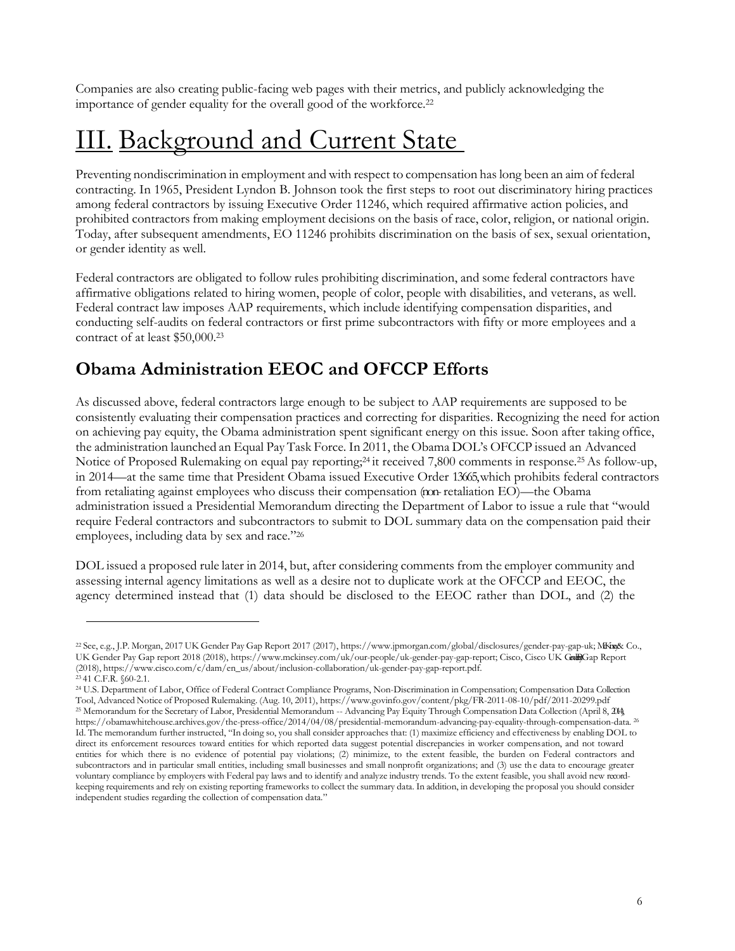Companies are also creating public-facing web pages with their metrics, and publicly acknowledging the importance of gender equality for the overall good of the workforce.<sup>22</sup>

# III. Background and Current State

Preventing nondiscrimination in employment and with respect to compensation has long been an aim of federal contracting. In 1965, President Lyndon B. Johnson took the first steps to root out discriminatory hiring practices among federal contractors by issuing Executive Order 11246, which required affirmative action policies, and prohibited contractors from making employment decisions on the basis of race, color, religion, or national origin. Today, after subsequent amendments, EO 11246 prohibits discrimination on the basis of sex, sexual orientation, or gender identity as well.

Federal contractors are obligated to follow rules prohibiting discrimination, and some federal contractors have affirmative obligations related to hiring women, people of color, people with disabilities, and veterans, as well. Federal contract law imposes AAP requirements, which include identifying compensation disparities, and conducting self-audits on federal contractors or first prime subcontractors with fifty or more employees and a contract of at least \$50,000.<sup>23</sup>

### **Obama Administration EEOC and OFCCP Efforts**

As discussed above, federal contractors large enough to be subject to AAP requirements are supposed to be consistently evaluating their compensation practices and correcting for disparities. Recognizing the need for action on achieving pay equity, the Obama administration spent significant energy on this issue. Soon after taking office, the administration launched an Equal Pay Task Force. In 2011, the Obama DOL's OFCCP issued an Advanced Notice of Proposed Rulemaking on equal pay reporting;24 it received 7,800 comments in response.25 As follow-up, in 2014—at the same time that President Obama issued Executive Order 13665, which prohibits federal contractors from retaliating against employees who discuss their compensation (non-retaliation EO)—the Obama administration issued a Presidential Memorandum directing the Department of Labor to issue a rule that "would require Federal contractors and subcontractors to submit to DOL summary data on the compensation paid their employees, including data by sex and race."<sup>26</sup>

DOL issued a proposed rule later in 2014, but, after considering comments from the employer community and assessing internal agency limitations as well as a desire not to duplicate work at the OFCCP and EEOC, the agency determined instead that (1) data should be disclosed to the EEOC rather than DOL, and (2) the

<sup>&</sup>lt;sup>22</sup> See, e.g., J.P. Morgan, 2017 UK Gender Pay Gap Report 2017 (2017), http[s://www.jpmorgan.com/global/disclosures/gender-pay-gap-uk;](http://www.jpmorgan.com/global/disclosures/gender-pay-gap-uk%3B) MKIng& Co., UK Gender Pay Gap report 2018 (2018), http[s://www.mckinsey.com/uk/our-people/uk-gender-pay-gap-report; C](http://www.mckinsey.com/uk/our-people/uk-gender-pay-gap-report%3B)isco, Cisco UK GalaGap Report (2018), http[s://www.cisco.com/c/dam/en\\_us/about/inclusion-collaboration/uk-gender-pay-gap-report.pdf.](http://www.cisco.com/c/dam/en_us/about/inclusion-collaboration/uk-gender-pay-gap-report.pdf)

<sup>23</sup>41 C.F.R. §60-2.1. <sup>24</sup> U.S. Department of Labor, Office of Federal Contract Compliance Programs, Non-Discrimination in Compensation; Compensation Data Collection Tool, Advanced Notice of Proposed Rulemaking. (Aug. 10, 2011), http[s://www.govinfo.gov/content/pkg/FR-2011-08-10/pdf/2011-20299.pdf](http://www.govinfo.gov/content/pkg/FR-2011-08-10/pdf/2011-20299.pdf) <sup>25</sup> Memorandum for the Secretary of Labor, Presidential Memorandum -- Advancing Pay Equity Through Compensation Data Collection (April 8, 2014), https://obamawhitehouse.archives.gov/the-press-office/2014/04/08/presidential-memorandum-advancing-pay-equality-through-compensation-data. <sup>26</sup> Id. The memorandum further instructed, "In doing so, you shall consider approaches that: (1) maximize efficiency and effectiveness by enabling DOL to direct its enforcement resources toward entities for which reported data suggest potential discrepancies in worker compensation, and not toward entities for which there is no evidence of potential pay violations; (2) minimize, to the extent feasible, the burden on Federal contractors and subcontractors and in particular small entities, including small businesses and small nonprofit organizations; and (3) use the data to encourage greater voluntary compliance by employers with Federal pay laws and to identify and analyze industry trends. To the extent feasible, you shall avoid new recordkeeping requirements and rely on existing reporting frameworks to collect the summary data. In addition, in developing the proposal you should consider independent studies regarding the collection of compensation data."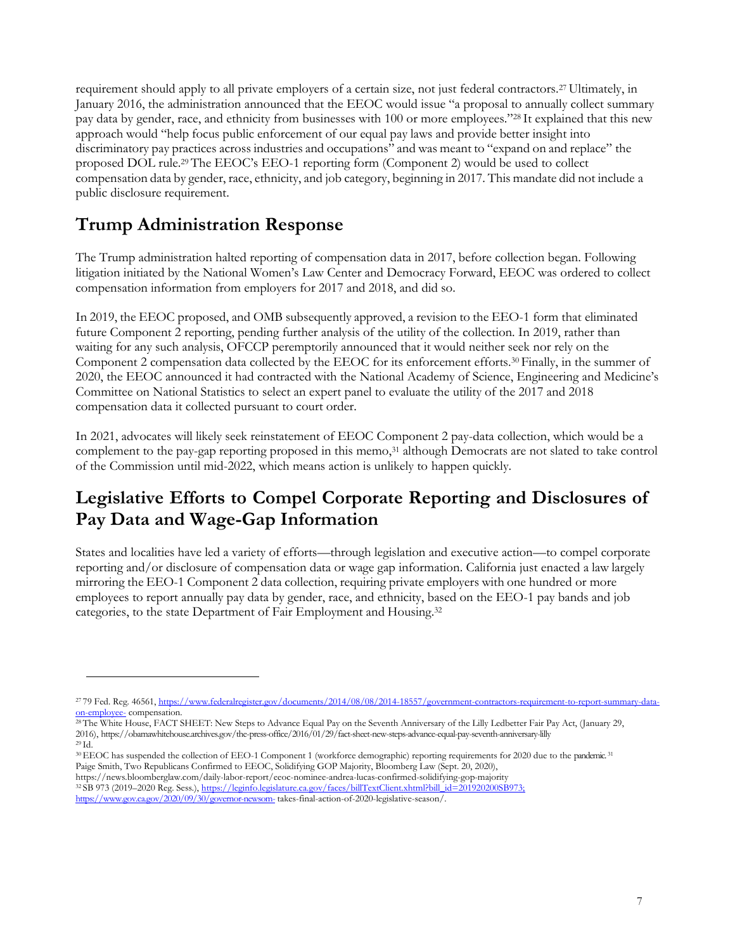requirement should apply to all private employers of a certain size, not just federal contractors.27 Ultimately, in January 2016, the administration announced that the EEOC would issue "a proposal to annually collect summary pay data by gender, race, and ethnicity from businesses with 100 or more employees."28 It explained that this new approach would "help focus public enforcement of our equal pay laws and provide better insight into discriminatory pay practices across industries and occupations" and was meant to "expand on and replace" the proposed DOL rule.29 The EEOC's EEO-1 reporting form (Component 2) would be used to collect compensation data by gender, race, ethnicity, and job category, beginning in 2017. This mandate did not include a public disclosure requirement.

### **Trump Administration Response**

The Trump administration halted reporting of compensation data in 2017, before collection began. Following litigation initiated by the National Women's Law Center and Democracy Forward, EEOC was ordered to collect compensation information from employers for 2017 and 2018, and did so.

In 2019, the EEOC proposed, and OMB subsequently approved, a revision to the EEO-1 form that eliminated future Component 2 reporting, pending further analysis of the utility of the collection. In 2019, rather than waiting for any such analysis, OFCCP peremptorily announced that it would neither seek nor rely on the Component 2 compensation data collected by the EEOC for its enforcement efforts.30 Finally, in the summer of 2020, the EEOC announced it had contracted with the National Academy of Science, Engineering and Medicine's Committee on National Statistics to select an expert panel to evaluate the utility of the 2017 and 2018 compensation data it collected pursuant to court order.

In 2021, advocates will likely seek reinstatement of EEOC Component 2 pay-data collection, which would be a complement to the pay-gap reporting proposed in this memo,<sup>31</sup> although Democrats are not slated to take control of the Commission until mid-2022, which means action is unlikely to happen quickly.

### **Legislative Efforts to Compel Corporate Reporting and Disclosures of Pay Data and Wage-Gap Information**

States and localities have led a variety of efforts—through legislation and executive action—to compel corporate reporting and/or disclosure of compensation data or wage gap information. California just enacted a law largely mirroring the EEO-1 Component 2 data collection, requiring private employers with one hundred or more employees to report annually pay data by gender, race, and ethnicity, based on the EEO-1 pay bands and job categories, to the state Department of Fair Employment and Housing.<sup>32</sup>

<sup>28</sup> The White House, FACT SHEET: New Steps to Advance Equal Pay on the Seventh Anniversary of the Lilly Ledbetter Fair Pay Act, (January 29, 2016), https://obamawhitehouse.archives.gov/the-press-office/2016/01/29/fact-sheet-new-steps-advance-equal-pay-seventh-anniversary-lilly <sup>29</sup>Id.

- <sup>30</sup> EEOC has suspended the collection of EEO-1 Component 1 (workforce demographic) reporting requirements for 2020 due to the pandemic.<sup>31</sup> Paige Smith, Two Republicans Confirmed to EEOC, Solidifying GOP Majority, Bloomberg Law (Sept. 20, 2020),
- https://news.bloomberglaw.com/daily-labor-report/eeoc-nominee-andrea-lucas-confirmed-solidifying-gop-majority

<sup>32</sup>SB 973 (2019–2020 Reg. Sess.), https://leginfo.legislature.ca.gov/faces/billTextClient.xhtml?bill\_id=201920200SB973;

<https://www.gov.ca.gov/2020/09/30/governor-newsom-> [takes-final-action-of-2020-legislative-season/.](https://www.gov.ca.gov/2020/09/30/governor-newsom-takes-final-action-of-2020-legislative-season/)

<sup>&</sup>lt;sup>27</sup>79 Fed. Reg. 46561, [https://www.federalregister.gov/documents/2014/08/08/2014-18557/government-contractors-requirement-to-report-summary-data](https://www.federalregister.gov/documents/2014/08/08/2014-18557/government-contractors-requirement-to-report-summary-data-on-employee-)[on-employee-](https://www.federalregister.gov/documents/2014/08/08/2014-18557/government-contractors-requirement-to-report-summary-data-on-employee-) [compensation.](https://www.federalregister.gov/documents/2014/08/08/2014-18557/government-contractors-requirement-to-report-summary-data-on-employee-compensation)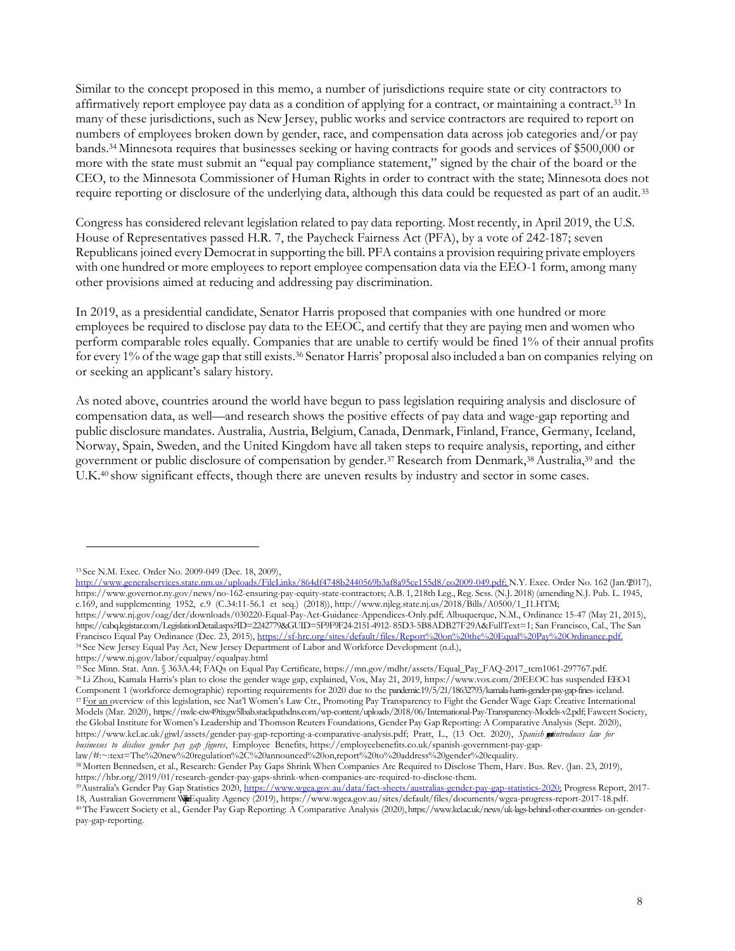Similar to the concept proposed in this memo, a number of jurisdictions require state or city contractors to affirmatively report employee pay data as a condition of applying for a contract, or maintaining a contract.<sup>33</sup> In many of these jurisdictions, such as New Jersey, public works and service contractors are required to report on numbers of employees broken down by gender, race, and compensation data across job categories and/or pay bands.34 Minnesota requires that businesses seeking or having contracts for goods and services of \$500,000 or more with the state must submit an "equal pay compliance statement," signed by the chair of the board or the CEO, to the Minnesota Commissioner of Human Rights in order to contract with the state; Minnesota does not require reporting or disclosure of the underlying data, although this data could be requested as part of an audit.<sup>35</sup>

Congress has considered relevant legislation related to pay data reporting. Most recently, in April 2019, the U.S. House of Representatives passed H.R. 7, the Paycheck Fairness Act (PFA), by a vote of 242-187; seven Republicans joined every Democrat in supporting the bill. PFA contains a provision requiring private employers with one hundred or more employees to report employee compensation data via the EEO-1 form, among many other provisions aimed at reducing and addressing pay discrimination.

In 2019, as a presidential candidate, Senator Harris proposed that companies with one hundred or more employees be required to disclose pay data to the EEOC, and certify that they are paying men and women who perform comparable roles equally. Companies that are unable to certify would be fined 1% of their annual profits for every 1% of the wage gap that still exists.<sup>36</sup> Senator Harris' proposal also included a ban on companies relying on or seeking an applicant's salary history.

As noted above, countries around the world have begun to pass legislation requiring analysis and disclosure of compensation data, as well—and research shows the positive effects of pay data and wage-gap reporting and public disclosure mandates. Australia, Austria, Belgium, Canada, Denmark, Finland, France, Germany, Iceland, Norway, Spain, Sweden, and the United Kingdom have all taken steps to require analysis, reporting, and either government or public disclosure of compensation by gender.37 Research from Denmark,38 Australia,39 and the U.K.40 show significant effects, though there are uneven results by industry and sector in some cases.

*businesses to disclose gender pay gap figures*, Employee Benefits, https://employeebenefits.co.uk/spanish-government-pay-gaplaw/#:~:text=The%20new%20regulation%2C%20announced%20on,report%20to%20address%20gender%20equality.

<sup>33</sup>See N.M. Exec. Order No. 2009-049 (Dec. 18, 2009),

<http://www.generalservices.state.nm.us/uploads/FileLinks/864df4748b2440569b3af8a95ce155d8/eo2009-049.pdf;> N.Y. Exec. Order No. 162 (Jan.9017), http[s://www.governor.ny.gov/news/no-162-ensuring-pay-equity-state-contractors;](http://www.governor.ny.gov/news/no-162-ensuring-pay-equity-state-contractors%3B) A.B. 1, 218th Leg., Reg. Sess. (N.J. 2018) (amending N.J. Pub. L. 1945, c.169, and supplementing 1952, c.9 (C.34:11-56.1 et seq.) (2018))[, http://www.njleg.state.nj.us/2018/Bills/A0500/1\\_I1.HTM;](http://www.njleg.state.nj.us/2018/Bills/A0500/1_I1.HTM%3B) http[s://www.nj.gov/oag/dcr/downloads/030220-Equal-Pay-Act-Guidance-Appendices-Only.pdf;](http://www.nj.gov/oag/dcr/downloads/030220-Equal-Pay-Act-Guidance-Appendices-Only.pdf%3B) Albuquerque, N.M., Ordinance 15-47 (May 21, 2015), https://cabq.legistar.com/LegislationDetail.aspx?ID=2242779&GUID=5F9F9F24-2151-4912- 85D3-5B8ADB27F29A&FullText=1; San Francisco, Cal., The San Francisco Equal Pay Ordinance (Dec. 23, 2015), <https://sf-hrc.org/sites/default/files/Report%20on%20the%20Equal%20Pay%20Ordinance.pdf.>

<sup>&</sup>lt;sup>34</sup> See New Jersey Equal Pay Act, New Jersey Department of Labor and Workforce Development (n.d.),

http[s://www.nj.gov/labor/equalpay/equalpay.html](http://www.nj.gov/labor/equalpay/equalpay.html)

<sup>35</sup>See Minn. Stat. Ann. § 363A.44; FAQs on Equal Pay Certificate, https://mn.gov/mdhr/assets/Equal\_Pay\_FAQ-2017\_tcm1061-297767.pdf. <sup>36</sup>Li Zhou, Kamala Harris's plan to close the gender wage gap, explained, Vox, May 21, 2019[, https://www.vox.com/20EEOC has suspended EEO-1](https://www.vox.com/2019/5/21/18632793/kamala-harris-gender-pay-gap-fines-iceland) [Component 1 \(workforce demographic\) reporting requirements for 2020 due to the pandemic.19/5/21/18632793/kamala-harris-gender-pay-gap-fines-iceland.](https://www.vox.com/2019/5/21/18632793/kamala-harris-gender-pay-gap-fines-iceland) <sup>37</sup> For an overview of this legislation, see Nat'l Women's Law Ctr., Promoting Pay Transparency to Fight the Gender Wage Gap: Creative International Models (Mar. 2020)[, https://nwlc-ciw49tixgw5lbab.stackpathdns.com/wp-content/uploads/2018/06/International-Pay-Transparency-Models-v2.pdf;](https://nwlc-ciw49tixgw5lbab.stackpathdns.com/wp-content/uploads/2018/06/International-Pay-Transparency-Models-v2.pdf) Fawcett Society, the Global Institute for Women's Leadership and Thomson Reuters Foundations, Gender Pay Gap Reporting: A Comparative Analysis (Sept. 2020), [https://www.kcl.ac.uk/giwl/assets/gender-pay-gap-reporting-a-comparative-analysis.pdf;](https://www.kcl.ac.uk/giwl/assets/gender-pay-gap-reporting-a-comparative-analysis.pdf) Pratt, L., (13 Oct. 2020), Spanish *gaintroduces law for* 

<sup>38</sup>Morten Bennedsen, et al., Research: Gender Pay Gaps Shrink When Companies Are Required to Disclose Them, Harv. Bus. Rev. (Jan. 23, 2019[\),](https://hbr.org/2019/01/research-gender-pay-gaps-shrink-when-companies-are-required-to-disclose-them) [https://hbr.org/2019/01/research-gender-pay-gaps-shrink-when-companies-are-required-to-disclose-them.](https://hbr.org/2019/01/research-gender-pay-gaps-shrink-when-companies-are-required-to-disclose-them)

<sup>&</sup>lt;sup>39</sup>Australia's Gender Pay Gap Statistics 2020, <https://www.wgea.gov.au/data/fact-sheets/australias-gender-pay-gap-statistics-2020;> Progress Report, 201718, Australian Government WHE quality Agency (2019), http[s://www.wgea.gov.au/sites/default/files/documents/wgea-progress-report-2017-18.pdf.](http://www.wgea.gov.au/sites/default/files/documents/wgea-progress-report-2017-18.pdf) <sup>40</sup>The Fawcett Society et al., Gender Pay Gap Reporting: A Comparative Analysis (2020),htt[ps://www.kcl.ac.uk/news/uk-lags-behind-other-countries-](http://www.kcl.ac.uk/news/uk-lags-behind-other-countries-) on-gender-

pay-gap-reporting.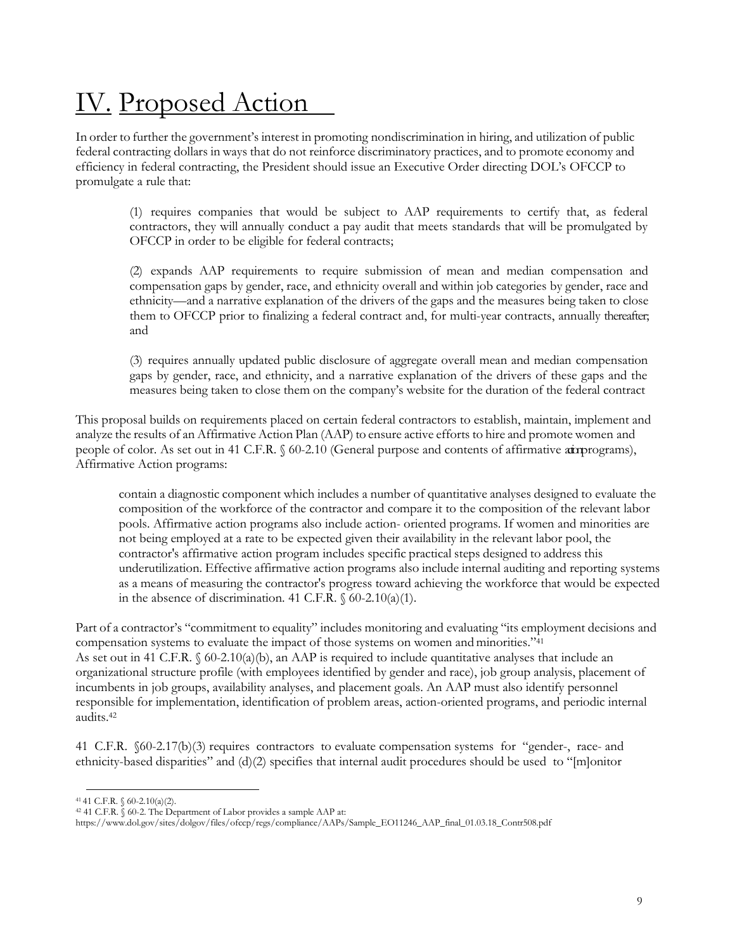# IV. Proposed Action

In order to further the government's interest in promoting nondiscrimination in hiring, and utilization of public federal contracting dollars in ways that do not reinforce discriminatory practices, and to promote economy and efficiency in federal contracting, the President should issue an Executive Order directing DOL's OFCCP to promulgate a rule that:

(1) requires companies that would be subject to AAP requirements to certify that, as federal contractors, they will annually conduct a pay audit that meets standards that will be promulgated by OFCCP in order to be eligible for federal contracts;

(2) expands AAP requirements to require submission of mean and median compensation and compensation gaps by gender, race, and ethnicity overall and within job categories by gender, race and ethnicity—and a narrative explanation of the drivers of the gaps and the measures being taken to close them to OFCCP prior to finalizing a federal contract and, for multi-year contracts, annually thereafter; and

(3) requires annually updated public disclosure of aggregate overall mean and median compensation gaps by gender, race, and ethnicity, and a narrative explanation of the drivers of these gaps and the measures being taken to close them on the company's website for the duration of the federal contract

This proposal builds on requirements placed on certain federal contractors to establish, maintain, implement and analyze the results of an Affirmative Action Plan (AAP) to ensure active efforts to hire and promote women and people of color. As set out in 41 C.F.R. § 60-2.10 (General purpose and contents of affirmative atm programs), Affirmative Action programs:

contain a diagnostic component which includes a number of quantitative analyses designed to evaluate the composition of the workforce of the contractor and compare it to the composition of the relevant labor pools. Affirmative action programs also include action- oriented programs. If women and minorities are not being employed at a rate to be expected given their availability in the relevant labor pool, the contractor's affirmative action program includes specific practical steps designed to address this underutilization. Effective affirmative action programs also include internal auditing and reporting systems as a means of measuring the contractor's progress toward achieving the workforce that would be expected in the absence of discrimination. 41 C.F.R.  $\delta$  60-2.10(a)(1).

Part of a contractor's "commitment to equality" includes monitoring and evaluating "its employment decisions and compensation systems to evaluate the impact of those systems on women and minorities."<sup>41</sup> As set out in 41 C.F.R.  $\frac{60-2.10(a)(b)}{a}$ , an AAP is required to include quantitative analyses that include an organizational structure profile (with employees identified by gender and race), job group analysis, placement of incumbents in job groups, availability analyses, and placement goals. An AAP must also identify personnel responsible for implementation, identification of problem areas, action-oriented programs, and periodic internal audits.<sup>42</sup>

41 C.F.R. §60-2.17(b)(3) requires contractors to evaluate compensation systems for "gender-, race- and ethnicity-based disparities" and (d)(2) specifies that internal audit procedures should be used to "[m]onitor

 $41$  41 C.F.R. § 60-2.10(a)(2).

<sup>42</sup>41 C.F.R. § 60-2. The Department of Labor provides a sample AAP at:

http[s://www.dol.gov/sites/dolgov/files/ofccp/regs/compliance/AAPs/Sample\\_EO11246\\_AAP\\_final\\_01.03.18\\_Contr508.pdf](http://www.dol.gov/sites/dolgov/files/ofccp/regs/compliance/AAPs/Sample_EO11246_AAP_final_01.03.18_Contr508.pdf)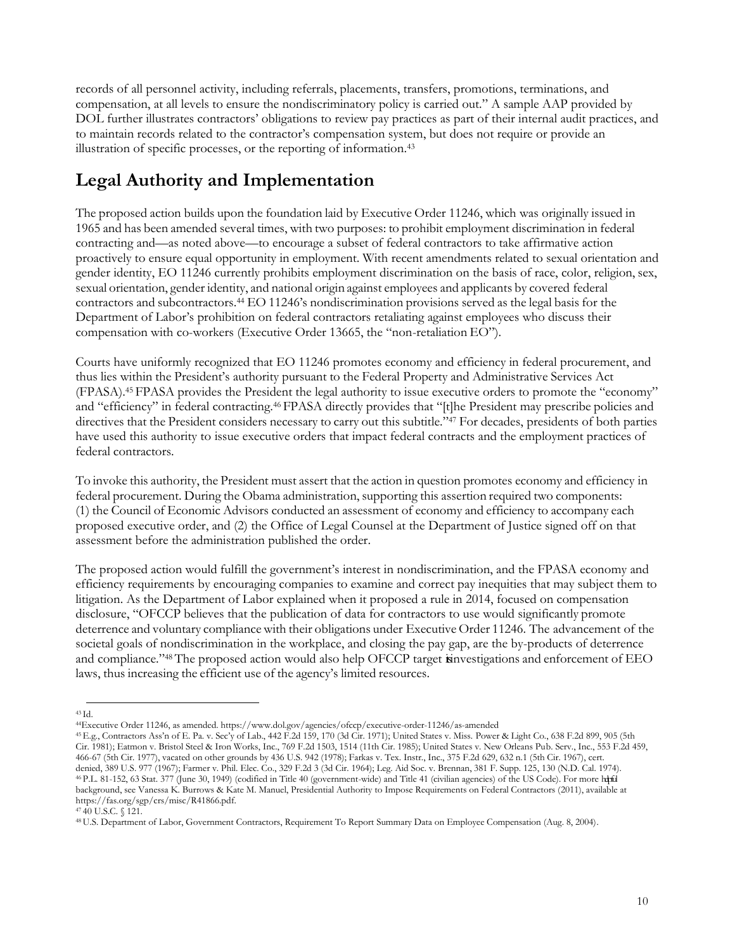records of all personnel activity, including referrals, placements, transfers, promotions, terminations, and compensation, at all levels to ensure the nondiscriminatory policy is carried out." A sample AAP provided by DOL further illustrates contractors' obligations to review pay practices as part of their internal audit practices, and to maintain records related to the contractor's compensation system, but does not require or provide an illustration of specific processes, or the reporting of information.<sup>43</sup>

### **Legal Authority and Implementation**

The proposed action builds upon the foundation laid by Executive Order 11246, which was originally issued in 1965 and has been amended several times, with two purposes: to prohibit employment discrimination in federal contracting and—as noted above—to encourage a subset of federal contractors to take affirmative action proactively to ensure equal opportunity in employment. With recent amendments related to sexual orientation and gender identity, EO 11246 currently prohibits employment discrimination on the basis of race, color, religion, sex, sexual orientation, gender identity, and national origin against employees and applicants by covered federal contractors and subcontractors.<sup>44</sup> EO 11246's nondiscrimination provisions served as the legal basis for the Department of Labor's prohibition on federal contractors retaliating against employees who discuss their compensation with co-workers (Executive Order 13665, the "non-retaliation EO").

Courts have uniformly recognized that EO 11246 promotes economy and efficiency in federal procurement, and thus lies within the President's authority pursuant to the Federal Property and Administrative Services Act (FPASA).45 FPASA provides the President the legal authority to issue executive orders to promote the "economy" and "efficiency" in federal contracting.46 FPASA directly provides that "[t]he President may prescribe policies and directives that the President considers necessary to carry out this subtitle."<sup>47</sup> For decades, presidents of both parties have used this authority to issue executive orders that impact federal contracts and the employment practices of federal contractors.

To invoke this authority, the President must assert that the action in question promotes economy and efficiency in federal procurement. During the Obama administration, supporting this assertion required two components: (1) the Council of Economic Advisors conducted an assessment of economy and efficiency to accompany each proposed executive order, and (2) the Office of Legal Counsel at the Department of Justice signed off on that assessment before the administration published the order.

The proposed action would fulfill the government's interest in nondiscrimination, and the FPASA economy and efficiency requirements by encouraging companies to examine and correct pay inequities that may subject them to litigation. As the Department of Labor explained when it proposed a rule in 2014, focused on compensation disclosure, "OFCCP believes that the publication of data for contractors to use would significantly promote deterrence and voluntary compliance with their obligations under Executive Order 11246. The advancement of the societal goals of nondiscrimination in the workplace, and closing the pay gap, are the by-products of deterrence and compliance."<sup>48</sup> The proposed action would also help OFCCP target investigations and enforcement of EEO laws, thus increasing the efficient use of the agency's limited resources.

<sup>45</sup>E.g., Contractors Ass'n of E. Pa. v. Sec'y of Lab., 442 F.2d 159, 170 (3d Cir. 1971); United States v. Miss. Power & Light Co., 638 F.2d 899, 905 (5th Cir. 1981); Eatmon v. Bristol Steel & Iron Works, Inc., 769 F.2d 1503, 1514 (11th Cir. 1985); United States v. New Orleans Pub. Serv., Inc., 553 F.2d 459, 466-67 (5th Cir. 1977), vacated on other grounds by 436 U.S. 942 (1978); Farkas v. Tex. Instr., Inc., 375 F.2d 629, 632 n.1 (5th Cir. 1967), cert. denied, 389 U.S. 977 (1967); Farmer v. Phil. Elec. Co., 329 F.2d 3 (3d Cir. 1964); Leg. Aid Soc. v. Brennan, 381 F. Supp. 125, 130 (N.D. Cal. 1974). <sup>46</sup>P.L. 81-152, 63 Stat. 377 (June 30, 1949) (codified in Title 40 (government-wide) and Title 41 (civilian agencies) of the US Code). For more helpful background, see Vanessa K. Burrows & Kate M. Manuel, Presidential Authority to Impose Requirements on Federal Contractors (2011), available at https://fas.org/sgp/crs/misc/R41866.pdf.

 $43$  Id.

<sup>44</sup>Executive Order 11246, as amended. http[s://www.dol.gov/agencies/ofccp/executive-order-11246/as-amended](http://www.dol.gov/agencies/ofccp/executive-order-11246/as-amended)

 $47\overline{40}$  U.S.C. § 121.

<sup>48</sup> U.S. Department of Labor, Government Contractors, Requirement To Report Summary Data on Employee Compensation (Aug. 8, 2004).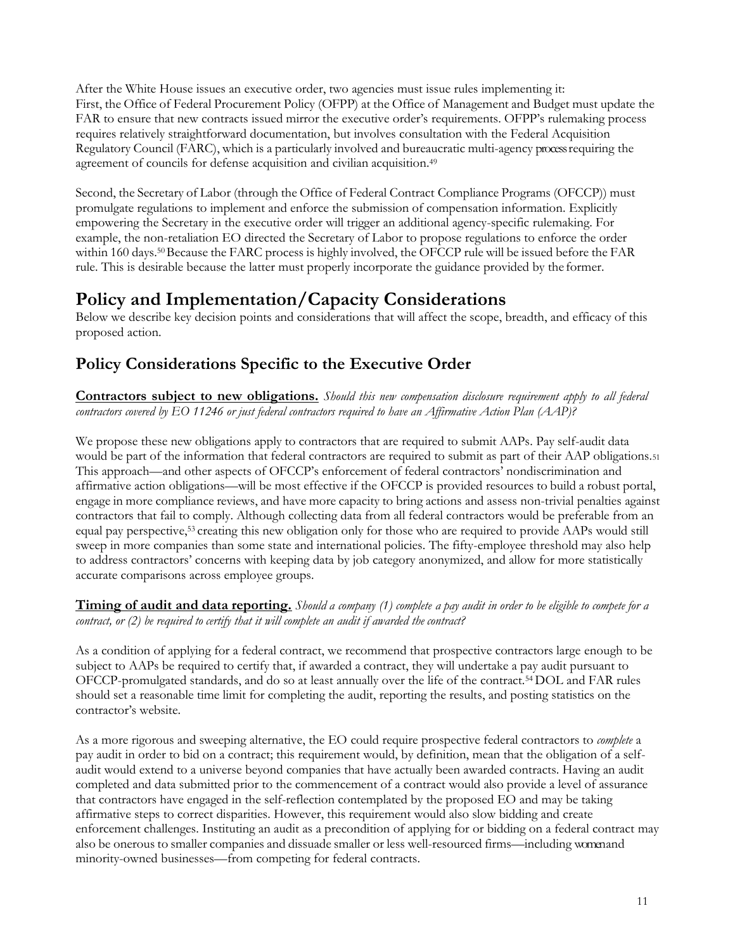After the White House issues an executive order, two agencies must issue rules implementing it: First, the Office of Federal Procurement Policy (OFPP) at the Office of Management and Budget must update the FAR to ensure that new contracts issued mirror the executive order's requirements. OFPP's rulemaking process requires relatively straightforward documentation, but involves consultation with the Federal Acquisition Regulatory Council (FARC), which is a particularly involved and bureaucratic multi-agency process requiring the agreement of councils for defense acquisition and civilian acquisition.<sup>49</sup>

Second, the Secretary of Labor (through the Office of Federal Contract Compliance Programs (OFCCP)) must promulgate regulations to implement and enforce the submission of compensation information. Explicitly empowering the Secretary in the executive order will trigger an additional agency-specific rulemaking. For example, the non-retaliation EO directed the Secretary of Labor to propose regulations to enforce the order within 160 days.<sup>50</sup> Because the FARC process is highly involved, the OFCCP rule will be issued before the FAR rule. This is desirable because the latter must properly incorporate the guidance provided by the former.

#### **Policy and Implementation/Capacity Considerations**

Below we describe key decision points and considerations that will affect the scope, breadth, and efficacy of this proposed action.

#### **Policy Considerations Specific to the Executive Order**

**Contractors subject to new obligations.** *Should this new compensation disclosure requirement apply to all federal contractors covered by EO 11246 or just federal contractors required to have an Affirmative Action Plan (AAP)?*

We propose these new obligations apply to contractors that are required to submit AAPs. Pay self-audit data would be part of the information that federal contractors are required to submit as part of their AAP obligations.<sup>51</sup> This approach—and other aspects of OFCCP's enforcement of federal contractors' nondiscrimination and affirmative action obligations—will be most effective if the OFCCP is provided resources to build a robust portal, engage in more compliance reviews, and have more capacity to bring actions and assess non-trivial penalties against contractors that fail to comply. Although collecting data from all federal contractors would be preferable from an equal pay perspective,53 creating this new obligation only for those who are required to provide AAPs would still sweep in more companies than some state and international policies. The fifty-employee threshold may also help to address contractors' concerns with keeping data by job category anonymized, and allow for more statistically accurate comparisons across employee groups.

**Timing of audit and data reporting.** Should a company (1) complete a pay audit in order to be eligible to compete for a *contract, or (2) be required to certify that it will complete an audit if awarded the contract?*

As a condition of applying for a federal contract, we recommend that prospective contractors large enough to be subject to AAPs be required to certify that, if awarded a contract, they will undertake a pay audit pursuant to OFCCP-promulgated standards, and do so at least annually over the life of the contract.54 DOL and FAR rules should set a reasonable time limit for completing the audit, reporting the results, and posting statistics on the contractor's website.

As a more rigorous and sweeping alternative, the EO could require prospective federal contractors to *complete* a pay audit in order to bid on a contract; this requirement would, by definition, mean that the obligation of a selfaudit would extend to a universe beyond companies that have actually been awarded contracts. Having an audit completed and data submitted prior to the commencement of a contract would also provide a level of assurance that contractors have engaged in the self-reflection contemplated by the proposed EO and may be taking affirmative steps to correct disparities. However, this requirement would also slow bidding and create enforcement challenges. Instituting an audit as a precondition of applying for or bidding on a federal contract may also be onerous to smaller companies and dissuade smaller or less well-resourced firms—including women and minority-owned businesses—from competing for federal contracts.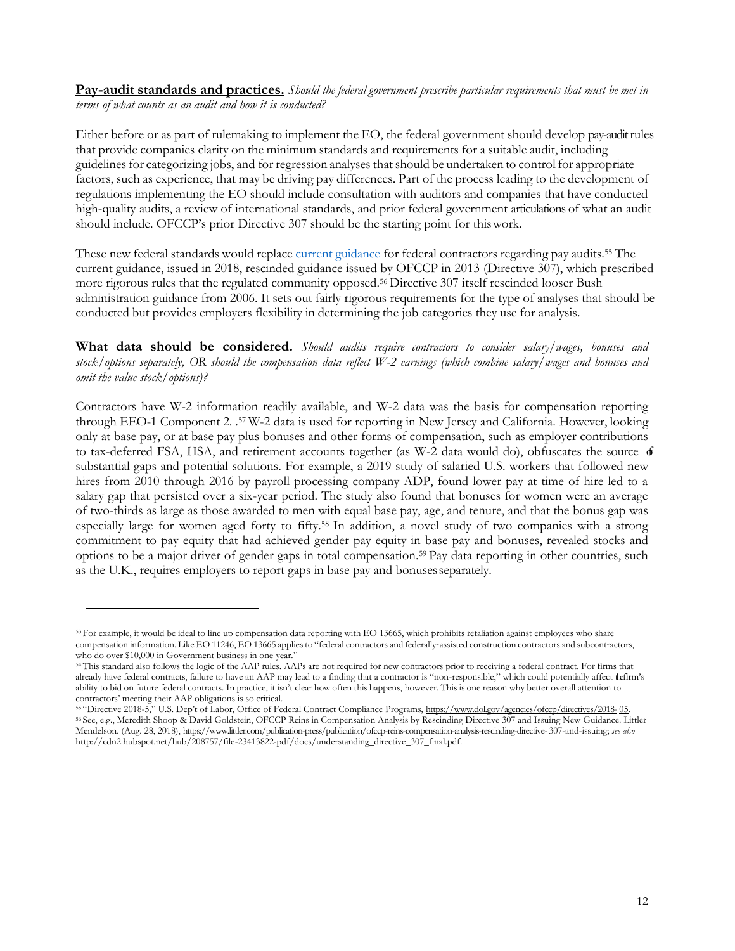**Pay-audit standards and practices.** *Should the federal government prescribe particular requirements that must be met in terms of what counts as an audit and how it is conducted?*

Either before or as part of rulemaking to implement the EO, the federal government should develop pay-audit rules that provide companies clarity on the minimum standards and requirements for a suitable audit, including guidelinesfor categorizing jobs, and for regression analyses thatshould be undertaken to control for appropriate factors, such as experience, that may be driving pay differences. Part of the process leading to the development of regulations implementing the EO should include consultation with auditors and companies that have conducted high-quality audits, a review of international standards, and prior federal government articulations of what an audit should include. OFCCP's prior Directive 307 should be the starting point for thiswork.

These new federal standards would replace current [guidance](https://www.dol.gov/agencies/ofccp/directives/2018-05) for federal contractors regarding pay audits.<sup>55</sup> The current guidance, issued in 2018, rescinded guidance issued by OFCCP in 2013 (Directive 307), which prescribed more rigorous rules that the regulated community opposed.<sup>56</sup> Directive 307 itself rescinded looser Bush administration guidance from 2006. It sets out fairly rigorous requirements for the type of analyses that should be conducted but provides employers flexibility in determining the job categories they use for analysis.

**What data should be considered.** *Should audits require contractors to consider salary/wages, bonuses and stock/options separately, OR should the compensation data reflect W-2 earnings (which combine salary/wages and bonuses and omit the value stock/options)?*

Contractors have W-2 information readily available, and W-2 data was the basis for compensation reporting through EEO-1 Component 2. .<sup>57</sup> W-2 data is used for reporting in New Jersey and California. However, looking only at base pay, or at base pay plus bonuses and other forms of compensation, such as employer contributions to tax-deferred FSA, HSA, and retirement accounts together (as W-2 data would do), obfuscates the source  $\phi$ substantial gaps and potential solutions. For example, a 2019 study of salaried U.S. workers that followed new hires from 2010 through 2016 by payroll processing company ADP, found lower pay at time of hire led to a salary gap that persisted over a six-year period. The study also found that bonuses for women were an average of two-thirds as large as those awarded to men with equal base pay, age, and tenure, and that the bonus gap was especially large for women aged forty to fifty.58 In addition, a novel study of two companies with a strong commitment to pay equity that had achieved gender pay equity in base pay and bonuses, revealed stocks and options to be a major driver of gender gaps in total compensation.59 Pay data reporting in other countries, such as the U.K., requires employers to report gaps in base pay and bonusesseparately.

<sup>53</sup> For example, it would be ideal to line up compensation data reporting with EO 13665, which prohibits retaliation against employees who share compensation information. Like EO 11246, EO 13665 applies to "federal contractors and federally-assisted construction contractors and subcontractors, who do over \$10,000 in Government business in one year."

<sup>54</sup>This standard also follows the logic of the AAP rules. AAPs are not required for new contractors prior to receiving a federal contract. For firms that already have federal contracts, failure to have an AAP may lead to a finding that a contractor is "non-responsible," which could potentially affect the firm's ability to bid on future federal contracts. In practice, it isn't clear how often this happens, however. This is one reason why better overall attention to contractors' meeting their AAP obligations is so critical.

<sup>55 &</sup>quot;Directive 2018-5," U.S. Dep't of Labor, Office of Federal Contract Compliance Programs, [https://www.dol.gov/agencies/ofccp/directives/2018-](https://www.dol.gov/agencies/ofccp/directives/2018-05)[05.](https://www.dol.gov/agencies/ofccp/directives/2018-05) <sup>56</sup>See, e.g., Meredith Shoop & David Goldstein, OFCCP Reins in Compensation Analysis by Rescinding Directive 307 and Issuing New Guidance. Littler Mendelson. (Aug. 28, 2018)[, https://www.littler.com/publication-press/publication/ofccp-reins-compensation-analysis-rescinding-directive-](https://www.littler.com/publication-press/publication/ofccp-reins-compensation-analysis-rescinding-directive-307-and-issuing) [307-and-issuing;](https://www.littler.com/publication-press/publication/ofccp-reins-compensation-analysis-rescinding-directive-307-and-issuing) *see also*  [http://cdn2.hubspot.net/hub/208757/file-23413822-pdf/docs/understanding\\_directive\\_307\\_final.pdf.](http://cdn2.hubspot.net/hub/208757/file-23413822-pdf/docs/understanding_directive_307_final.pdf)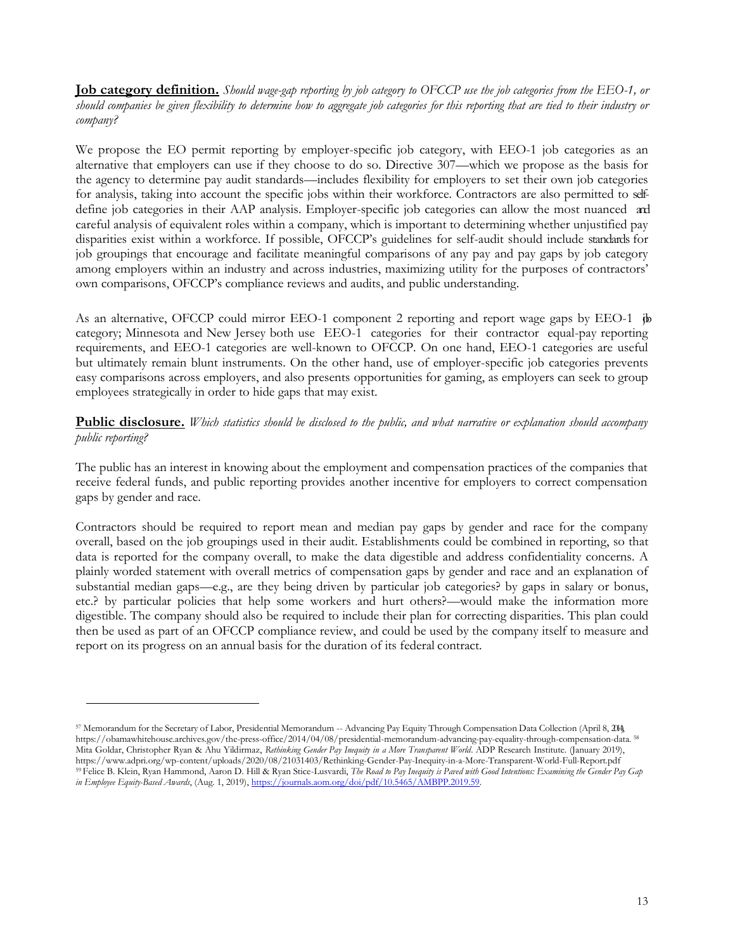**Job category definition.** *Should wage-gap reporting by job category to OFCCP use the job categories from the EEO-1, or should companies be given flexibility to determine how to aggregate job categories for this reporting that are tied to their industry or company?*

We propose the EO permit reporting by employer-specific job category, with EEO-1 job categories as an alternative that employers can use if they choose to do so. Directive 307—which we propose as the basis for the agency to determine pay audit standards—includes flexibility for employers to set their own job categories for analysis, taking into account the specific jobs within their workforce. Contractors are also permitted to selfdefine job categories in their AAP analysis. Employer-specific job categories can allow the most nuanced and careful analysis of equivalent roles within a company, which is important to determining whether unjustified pay disparities exist within a workforce. If possible, OFCCP's guidelines for self-audit should include standards for job groupings that encourage and facilitate meaningful comparisons of any pay and pay gaps by job category among employers within an industry and across industries, maximizing utility for the purposes of contractors' own comparisons, OFCCP's compliance reviews and audits, and public understanding.

As an alternative, OFCCP could mirror EEO-1 component 2 reporting and report wage gaps by EEO-1 jb category; Minnesota and New Jersey both use EEO-1 categories for their contractor equal-pay reporting requirements, and EEO-1 categories are well-known to OFCCP. On one hand, EEO-1 categories are useful but ultimately remain blunt instruments. On the other hand, use of employer-specific job categories prevents easy comparisons across employers, and also presents opportunities for gaming, as employers can seek to group employees strategically in order to hide gaps that may exist.

**Public disclosure.** *Which statistics should be disclosed to the public, and what narrative or explanation should accompany public reporting?*

The public has an interest in knowing about the employment and compensation practices of the companies that receive federal funds, and public reporting provides another incentive for employers to correct compensation gaps by gender and race.

Contractors should be required to report mean and median pay gaps by gender and race for the company overall, based on the job groupings used in their audit. Establishments could be combined in reporting, so that data is reported for the company overall, to make the data digestible and address confidentiality concerns. A plainly worded statement with overall metrics of compensation gaps by gender and race and an explanation of substantial median gaps—e.g., are they being driven by particular job categories? by gaps in salary or bonus, etc.? by particular policies that help some workers and hurt others?—would make the information more digestible. The company should also be required to include their plan for correcting disparities. This plan could then be used as part of an OFCCP compliance review, and could be used by the company itself to measure and report on its progress on an annual basis for the duration of its federal contract.

<sup>57</sup> Memorandum for the Secretary of Labor, Presidential Memorandum -- Advancing Pay Equity Through Compensation Data Collection (April 8, 2014), https://obamawhitehouse.archives.gov/the-press-office/2014/04/08/presidential-memorandum-advancing-pay-equality-through-compensation-data. <sup>58</sup> Mita Goldar, Christopher Ryan & Ahu Yildirmaz, *Rethinking Gender Pay Inequity in a More Transparent World*. ADP Research Institute. (January 2019), http[s://www.adpri.org/wp-content/uploads/2020/08/21031403/Rethinking-Gender-Pay-Inequity-in-a-More-Transparent-World-Full-Report.pdf](http://www.adpri.org/wp-content/uploads/2020/08/21031403/Rethinking-Gender-Pay-Inequity-in-a-More-Transparent-World-Full-Report.pdf) 59 Felice B. Klein, Ryan Hammond, Aaron D. Hill & Ryan Stice-Lusvardi, The Road to Pay Inequity is Paved with Good Intentions: Examining the Gender Pay Gap *in Employee Equity-Based Awards*, (Aug. 1, 2019)[, https://journals.aom.org/doi/pdf/10.5465/AMBPP.2019.59.](https://journals.aom.org/doi/pdf/10.5465/AMBPP.2019.59)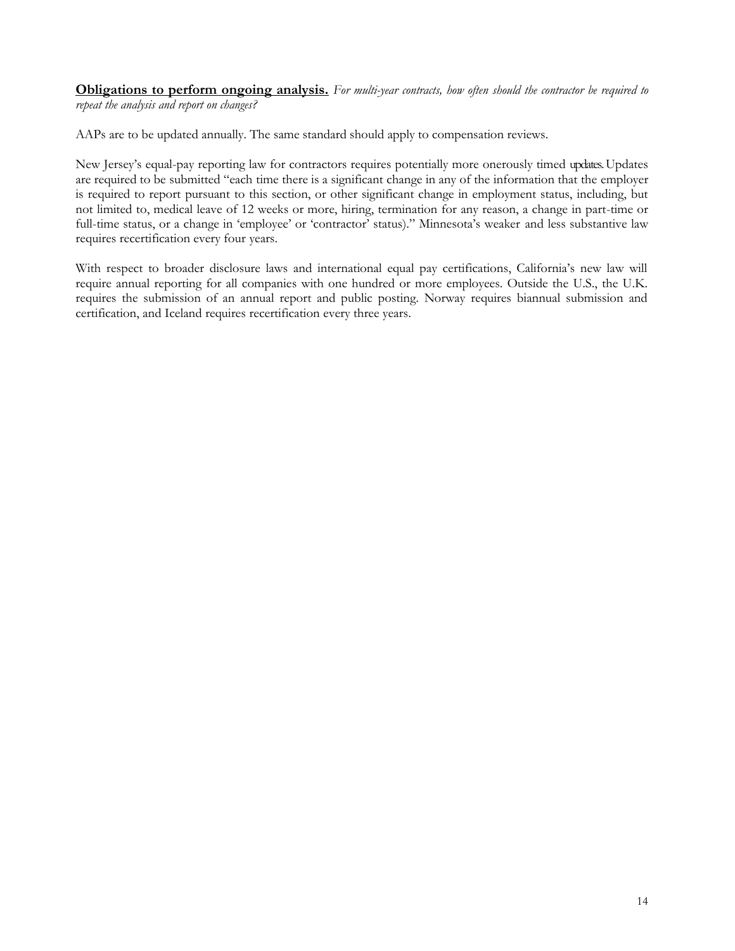**Obligations to perform ongoing analysis.** *For multi-year contracts, how often should the contractor be required to repeat the analysis and report on changes?*

AAPs are to be updated annually. The same standard should apply to compensation reviews.

New Jersey's equal-pay reporting law for contractors requires potentially more onerously timed updates. Updates are required to be submitted "each time there is a significant change in any of the information that the employer is required to report pursuant to this section, or other significant change in employment status, including, but not limited to, medical leave of 12 weeks or more, hiring, termination for any reason, a change in part-time or full-time status, or a change in 'employee' or 'contractor' status)." Minnesota's weaker and less substantive law requires recertification every four years.

With respect to broader disclosure laws and international equal pay certifications, California's new law will require annual reporting for all companies with one hundred or more employees. Outside the U.S., the U.K. requires the submission of an annual report and public posting. Norway requires biannual submission and certification, and Iceland requires recertification every three years.